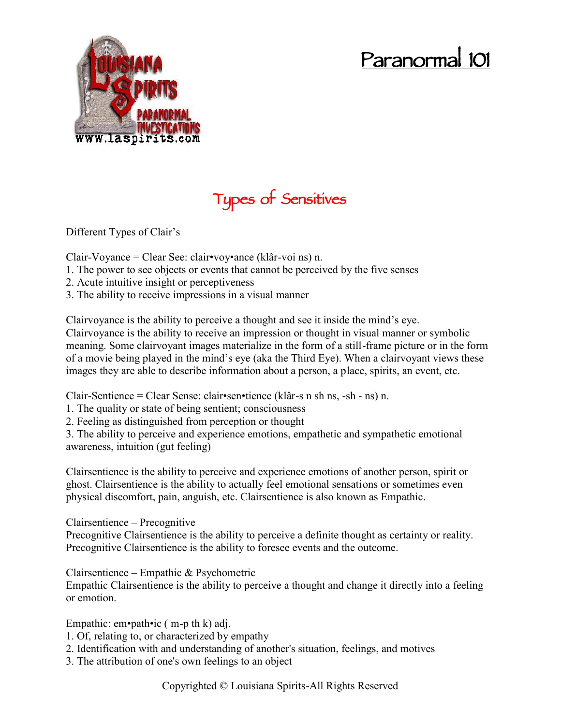## **Paranormal 101**



## **Types of Sensitives**

Different Types of Clair's

Clair-Voyance = Clear See: clair•voy•ance (klâr-voi ns) n.

- 1. The power to see objects or events that cannot be perceived by the five senses
- 2. Acute intuitive insight or perceptiveness
- 3. The ability to receive impressions in a visual manner

Clairvoyance is the ability to perceive a thought and see it inside the mind's eye. Clairvoyance is the ability to receive an impression or thought in visual manner or symbolic meaning. Some clairvoyant images materialize in the form of a still-frame picture or in the form of a movie being played in the mind's eye (aka the Third Eye). When a clairvoyant views these images they are able to describe information about a person, a place, spirits, an event, etc.

Clair-Sentience = Clear Sense: clair•sen•tience (klâr-s n sh ns, -sh - ns) n.

1. The quality or state of being sentient; consciousness

2. Feeling as distinguished from perception or thought

3. The ability to perceive and experience emotions, empathetic and sympathetic emotional awareness, intuition (gut feeling)

Clairsentience is the ability to perceive and experience emotions of another person, spirit or ghost. Clairsentience is the ability to actually feel emotional sensations or sometimes even physical discomfort, pain, anguish, etc. Clairsentience is also known as Empathic.

Clairsentience – Precognitive

Precognitive Clairsentience is the ability to perceive a definite thought as certainty or reality. Precognitive Clairsentience is the ability to foresee events and the outcome.

Clairsentience – Empathic & Psychometric

Empathic Clairsentience is the ability to perceive a thought and change it directly into a feeling or emotion.

Empathic:  $em\n$ \*path\nic (m-p th k) adj.

- 1. Of, relating to, or characterized by empathy
- 2. Identification with and understanding of another's situation, feelings, and motives
- 3. The attribution of one's own feelings to an object